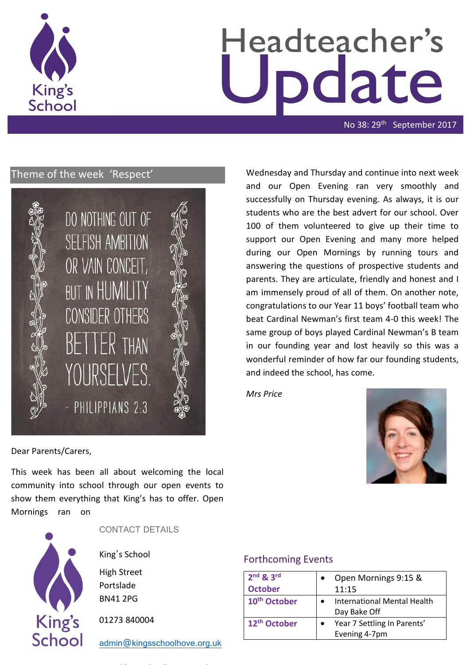

# Headteacher's date

No 38: 29<sup>th</sup> September 2017

# Theme of the week 'Respect'



Wednesday and Thursday and continue into next week and our Open Evening ran very smoothly and successfully on Thursday evening. As always, it is our students who are the best advert for our school. Over 100 of them volunteered to give up their time to support our Open Evening and many more helped during our Open Mornings by running tours and answering the questions of prospective students and parents. They are articulate, friendly and honest and I am immensely proud of all of them. On another note, congratulations to our Year 11 boys' football team who beat Cardinal Newman's first team 4-0 this week! The same group of boys played Cardinal Newman's B team in our founding year and lost heavily so this was a wonderful reminder of how far our founding students, and indeed the school, has come.

*Mrs Price*



Dear Parents/Carers,

This week has been all about welcoming the local community into school through our open events to show them everything that King's has to offer. Open Mornings ran on



CONTACT DETAILS

King's School

High Street Portslade BN41 2PG

01273 840004

[admin@kingsschoolhove.org.uk](mailto:admin@kingsschoolhove.org.uk)

# Forthcoming Events

| $2nd$ & $3rd$            | Open Mornings 9:15 &               |
|--------------------------|------------------------------------|
| <b>October</b>           | 11:15                              |
| 10 <sup>th</sup> October | <b>International Mental Health</b> |
|                          | Day Bake Off                       |
| 12 <sup>th</sup> October | Year 7 Settling In Parents'        |
|                          | Evening 4-7pm                      |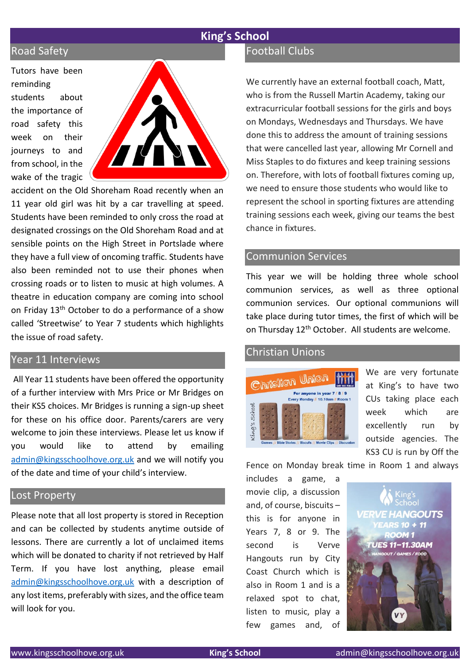# **King's School**

# Road Safety

Tutors have been reminding students about the importance of road safety this week on their journeys to and from school, in the wake of the tragic



accident on the Old Shoreham Road recently when an 11 year old girl was hit by a car travelling at speed. Students have been reminded to only cross the road at designated crossings on the Old Shoreham Road and at sensible points on the High Street in Portslade where they have a full view of oncoming traffic. Students have also been reminded not to use their phones when crossing roads or to listen to music at high volumes. A theatre in education company are coming into school on Friday 13th October to do a performance of a show called 'Streetwise' to Year 7 students which highlights the issue of road safety.

# Year 11 Interviews

All Year 11 students have been offered the opportunity of a further interview with Mrs Price or Mr Bridges on their KS5 choices. Mr Bridges is running a sign-up sheet for these on his office door. Parents/carers are very welcome to join these interviews. Please let us know if you would like to attend by emailing [admin@kingsschoolhove.org.uk](mailto:admin@kingsschoolhove.org.uk) and we will notify you of the date and time of your child's interview.

#### Lost Property

Please note that all lost property is stored in Reception and can be collected by students anytime outside of lessons. There are currently a lot of unclaimed items which will be donated to charity if not retrieved by Half Term. If you have lost anything, please email [admin@kingsschoolhove.org.uk](mailto:admin@kingsschoolhove.org.uk) with a description of any lost items, preferably with sizes, and the office team will look for you.

## Football Clubs

We currently have an external football coach, Matt, who is from the Russell Martin Academy, taking our extracurricular football sessions for the girls and boys on Mondays, Wednesdays and Thursdays. We have done this to address the amount of training sessions that were cancelled last year, allowing Mr Cornell and Miss Staples to do fixtures and keep training sessions on. Therefore, with lots of football fixtures coming up, we need to ensure those students who would like to represent the school in sporting fixtures are attending training sessions each week, giving our teams the best chance in fixtures.

#### Communion Services

This year we will be holding three whole school communion services, as well as three optional communion services. Our optional communions will take place during tutor times, the first of which will be on Thursday 12<sup>th</sup> October. All students are welcome.

#### Christian Unions



We are very fortunate at King's to have two CUs taking place each week which are excellently run by outside agencies. The KS3 CU is run by Off the

Fence on Monday break time in Room 1 and always

includes a game, a movie clip, a discussion and, of course, biscuits – this is for anyone in Years 7, 8 or 9. The second is Verve Hangouts run by City Coast Church which is also in Room 1 and is a relaxed spot to chat, listen to music, play a few games and, of